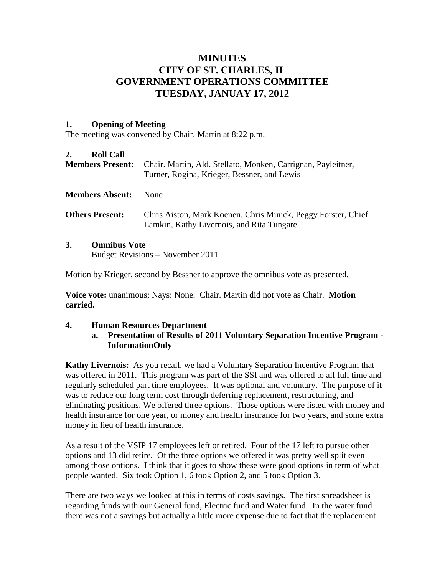# **MINUTES CITY OF ST. CHARLES, IL GOVERNMENT OPERATIONS COMMITTEE TUESDAY, JANUAY 17, 2012**

#### **1. Opening of Meeting**

The meeting was convened by Chair. Martin at 8:22 p.m.

#### **2. Roll Call**

| <b>Members Present:</b> |                                                         | Chair. Martin, Ald. Stellato, Monken, Carrignan, Payleitner,<br>Turner, Rogina, Krieger, Bessner, and Lewis |
|-------------------------|---------------------------------------------------------|-------------------------------------------------------------------------------------------------------------|
| <b>Members Absent:</b>  |                                                         | None                                                                                                        |
| <b>Others Present:</b>  |                                                         | Chris Aiston, Mark Koenen, Chris Minick, Peggy Forster, Chief<br>Lamkin, Kathy Livernois, and Rita Tungare  |
| 3.                      | <b>Omnibus Vote</b><br>Budget Revisions – November 2011 |                                                                                                             |

Motion by Krieger, second by Bessner to approve the omnibus vote as presented.

**Voice vote:** unanimous; Nays: None. Chair. Martin did not vote as Chair. **Motion carried.**

#### **4. Human Resources Department**

#### **a. Presentation of Results of 2011 Voluntary Separation Incentive Program - InformationOnly**

**Kathy Livernois:** As you recall, we had a Voluntary Separation Incentive Program that was offered in 2011. This program was part of the SSI and was offered to all full time and regularly scheduled part time employees. It was optional and voluntary. The purpose of it was to reduce our long term cost through deferring replacement, restructuring, and eliminating positions. We offered three options. Those options were listed with money and health insurance for one year, or money and health insurance for two years, and some extra money in lieu of health insurance.

As a result of the VSIP 17 employees left or retired. Four of the 17 left to pursue other options and 13 did retire. Of the three options we offered it was pretty well split even among those options. I think that it goes to show these were good options in term of what people wanted. Six took Option 1, 6 took Option 2, and 5 took Option 3.

There are two ways we looked at this in terms of costs savings. The first spreadsheet is regarding funds with our General fund, Electric fund and Water fund. In the water fund there was not a savings but actually a little more expense due to fact that the replacement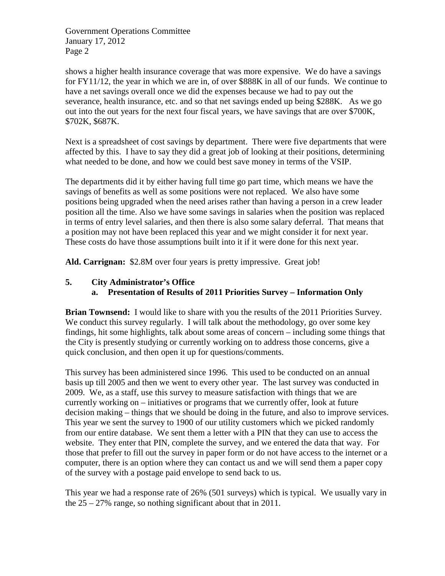shows a higher health insurance coverage that was more expensive. We do have a savings for FY11/12, the year in which we are in, of over \$888K in all of our funds. We continue to have a net savings overall once we did the expenses because we had to pay out the severance, health insurance, etc. and so that net savings ended up being \$288K. As we go out into the out years for the next four fiscal years, we have savings that are over \$700K, \$702K, \$687K.

Next is a spreadsheet of cost savings by department. There were five departments that were affected by this. I have to say they did a great job of looking at their positions, determining what needed to be done, and how we could best save money in terms of the VSIP.

The departments did it by either having full time go part time, which means we have the savings of benefits as well as some positions were not replaced. We also have some positions being upgraded when the need arises rather than having a person in a crew leader position all the time. Also we have some savings in salaries when the position was replaced in terms of entry level salaries, and then there is also some salary deferral. That means that a position may not have been replaced this year and we might consider it for next year. These costs do have those assumptions built into it if it were done for this next year.

**Ald. Carrignan:** \$2.8M over four years is pretty impressive. Great job!

### **5. City Administrator's Office**

### **a. Presentation of Results of 2011 Priorities Survey – Information Only**

**Brian Townsend:** I would like to share with you the results of the 2011 Priorities Survey. We conduct this survey regularly. I will talk about the methodology, go over some key findings, hit some highlights, talk about some areas of concern – including some things that the City is presently studying or currently working on to address those concerns, give a quick conclusion, and then open it up for questions/comments.

This survey has been administered since 1996. This used to be conducted on an annual basis up till 2005 and then we went to every other year. The last survey was conducted in 2009. We, as a staff, use this survey to measure satisfaction with things that we are currently working on – initiatives or programs that we currently offer, look at future decision making – things that we should be doing in the future, and also to improve services. This year we sent the survey to 1900 of our utility customers which we picked randomly from our entire database. We sent them a letter with a PIN that they can use to access the website. They enter that PIN, complete the survey, and we entered the data that way. For those that prefer to fill out the survey in paper form or do not have access to the internet or a computer, there is an option where they can contact us and we will send them a paper copy of the survey with a postage paid envelope to send back to us.

This year we had a response rate of 26% (501 surveys) which is typical. We usually vary in the  $25 - 27\%$  range, so nothing significant about that in 2011.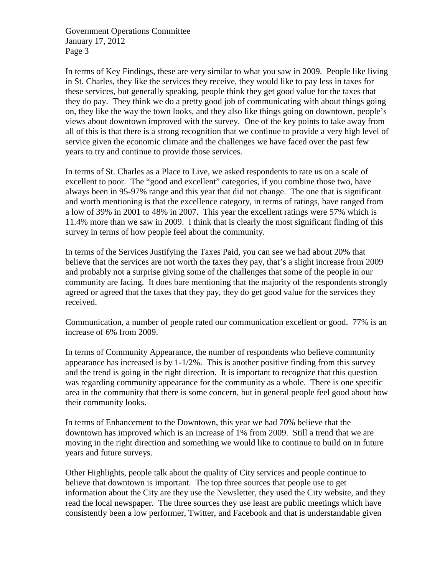In terms of Key Findings, these are very similar to what you saw in 2009. People like living in St. Charles, they like the services they receive, they would like to pay less in taxes for these services, but generally speaking, people think they get good value for the taxes that they do pay. They think we do a pretty good job of communicating with about things going on, they like the way the town looks, and they also like things going on downtown, people's views about downtown improved with the survey. One of the key points to take away from all of this is that there is a strong recognition that we continue to provide a very high level of service given the economic climate and the challenges we have faced over the past few years to try and continue to provide those services.

In terms of St. Charles as a Place to Live, we asked respondents to rate us on a scale of excellent to poor. The "good and excellent" categories, if you combine those two, have always been in 95-97% range and this year that did not change. The one that is significant and worth mentioning is that the excellence category, in terms of ratings, have ranged from a low of 39% in 2001 to 48% in 2007. This year the excellent ratings were 57% which is 11.4% more than we saw in 2009. I think that is clearly the most significant finding of this survey in terms of how people feel about the community.

In terms of the Services Justifying the Taxes Paid, you can see we had about 20% that believe that the services are not worth the taxes they pay, that's a slight increase from 2009 and probably not a surprise giving some of the challenges that some of the people in our community are facing. It does bare mentioning that the majority of the respondents strongly agreed or agreed that the taxes that they pay, they do get good value for the services they received.

Communication, a number of people rated our communication excellent or good. 77% is an increase of 6% from 2009.

In terms of Community Appearance, the number of respondents who believe community appearance has increased is by 1-1/2%. This is another positive finding from this survey and the trend is going in the right direction. It is important to recognize that this question was regarding community appearance for the community as a whole. There is one specific area in the community that there is some concern, but in general people feel good about how their community looks.

In terms of Enhancement to the Downtown, this year we had 70% believe that the downtown has improved which is an increase of 1% from 2009. Still a trend that we are moving in the right direction and something we would like to continue to build on in future years and future surveys.

Other Highlights, people talk about the quality of City services and people continue to believe that downtown is important. The top three sources that people use to get information about the City are they use the Newsletter, they used the City website, and they read the local newspaper. The three sources they use least are public meetings which have consistently been a low performer, Twitter, and Facebook and that is understandable given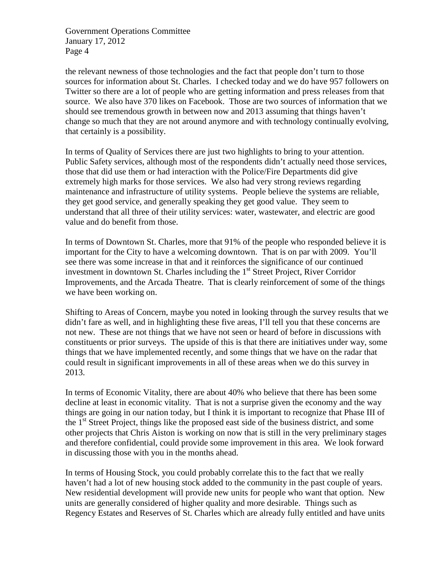the relevant newness of those technologies and the fact that people don't turn to those sources for information about St. Charles. I checked today and we do have 957 followers on Twitter so there are a lot of people who are getting information and press releases from that source. We also have 370 likes on Facebook. Those are two sources of information that we should see tremendous growth in between now and 2013 assuming that things haven't change so much that they are not around anymore and with technology continually evolving, that certainly is a possibility.

In terms of Quality of Services there are just two highlights to bring to your attention. Public Safety services, although most of the respondents didn't actually need those services, those that did use them or had interaction with the Police/Fire Departments did give extremely high marks for those services. We also had very strong reviews regarding maintenance and infrastructure of utility systems. People believe the systems are reliable, they get good service, and generally speaking they get good value. They seem to understand that all three of their utility services: water, wastewater, and electric are good value and do benefit from those.

In terms of Downtown St. Charles, more that 91% of the people who responded believe it is important for the City to have a welcoming downtown. That is on par with 2009. You'll see there was some increase in that and it reinforces the significance of our continued investment in downtown St. Charles including the  $1<sup>st</sup>$  Street Project, River Corridor Improvements, and the Arcada Theatre. That is clearly reinforcement of some of the things we have been working on.

Shifting to Areas of Concern, maybe you noted in looking through the survey results that we didn't fare as well, and in highlighting these five areas, I'll tell you that these concerns are not new. These are not things that we have not seen or heard of before in discussions with constituents or prior surveys. The upside of this is that there are initiatives under way, some things that we have implemented recently, and some things that we have on the radar that could result in significant improvements in all of these areas when we do this survey in 2013.

In terms of Economic Vitality, there are about 40% who believe that there has been some decline at least in economic vitality. That is not a surprise given the economy and the way things are going in our nation today, but I think it is important to recognize that Phase III of the  $1<sup>st</sup>$  Street Project, things like the proposed east side of the business district, and some other projects that Chris Aiston is working on now that is still in the very preliminary stages and therefore confidential, could provide some improvement in this area. We look forward in discussing those with you in the months ahead.

In terms of Housing Stock, you could probably correlate this to the fact that we really haven't had a lot of new housing stock added to the community in the past couple of years. New residential development will provide new units for people who want that option. New units are generally considered of higher quality and more desirable. Things such as Regency Estates and Reserves of St. Charles which are already fully entitled and have units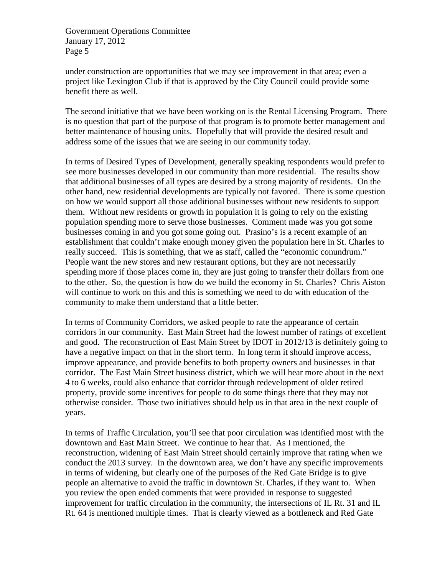under construction are opportunities that we may see improvement in that area; even a project like Lexington Club if that is approved by the City Council could provide some benefit there as well.

The second initiative that we have been working on is the Rental Licensing Program. There is no question that part of the purpose of that program is to promote better management and better maintenance of housing units. Hopefully that will provide the desired result and address some of the issues that we are seeing in our community today.

In terms of Desired Types of Development, generally speaking respondents would prefer to see more businesses developed in our community than more residential. The results show that additional businesses of all types are desired by a strong majority of residents. On the other hand, new residential developments are typically not favored. There is some question on how we would support all those additional businesses without new residents to support them. Without new residents or growth in population it is going to rely on the existing population spending more to serve those businesses. Comment made was you got some businesses coming in and you got some going out. Prasino's is a recent example of an establishment that couldn't make enough money given the population here in St. Charles to really succeed. This is something, that we as staff, called the "economic conundrum." People want the new stores and new restaurant options, but they are not necessarily spending more if those places come in, they are just going to transfer their dollars from one to the other. So, the question is how do we build the economy in St. Charles? Chris Aiston will continue to work on this and this is something we need to do with education of the community to make them understand that a little better.

In terms of Community Corridors, we asked people to rate the appearance of certain corridors in our community. East Main Street had the lowest number of ratings of excellent and good. The reconstruction of East Main Street by IDOT in 2012/13 is definitely going to have a negative impact on that in the short term. In long term it should improve access, improve appearance, and provide benefits to both property owners and businesses in that corridor. The East Main Street business district, which we will hear more about in the next 4 to 6 weeks, could also enhance that corridor through redevelopment of older retired property, provide some incentives for people to do some things there that they may not otherwise consider. Those two initiatives should help us in that area in the next couple of years.

In terms of Traffic Circulation, you'll see that poor circulation was identified most with the downtown and East Main Street. We continue to hear that. As I mentioned, the reconstruction, widening of East Main Street should certainly improve that rating when we conduct the 2013 survey. In the downtown area, we don't have any specific improvements in terms of widening, but clearly one of the purposes of the Red Gate Bridge is to give people an alternative to avoid the traffic in downtown St. Charles, if they want to. When you review the open ended comments that were provided in response to suggested improvement for traffic circulation in the community, the intersections of IL Rt. 31 and IL Rt. 64 is mentioned multiple times. That is clearly viewed as a bottleneck and Red Gate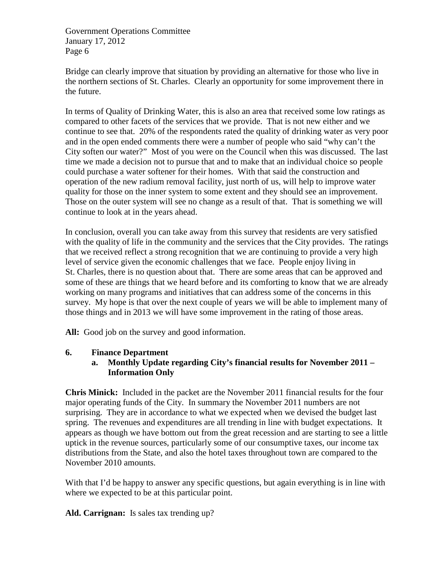Bridge can clearly improve that situation by providing an alternative for those who live in the northern sections of St. Charles. Clearly an opportunity for some improvement there in the future.

In terms of Quality of Drinking Water, this is also an area that received some low ratings as compared to other facets of the services that we provide. That is not new either and we continue to see that. 20% of the respondents rated the quality of drinking water as very poor and in the open ended comments there were a number of people who said "why can't the City soften our water?" Most of you were on the Council when this was discussed. The last time we made a decision not to pursue that and to make that an individual choice so people could purchase a water softener for their homes. With that said the construction and operation of the new radium removal facility, just north of us, will help to improve water quality for those on the inner system to some extent and they should see an improvement. Those on the outer system will see no change as a result of that. That is something we will continue to look at in the years ahead.

In conclusion, overall you can take away from this survey that residents are very satisfied with the quality of life in the community and the services that the City provides. The ratings that we received reflect a strong recognition that we are continuing to provide a very high level of service given the economic challenges that we face. People enjoy living in St. Charles, there is no question about that. There are some areas that can be approved and some of these are things that we heard before and its comforting to know that we are already working on many programs and initiatives that can address some of the concerns in this survey. My hope is that over the next couple of years we will be able to implement many of those things and in 2013 we will have some improvement in the rating of those areas.

All: Good job on the survey and good information.

#### **6. Finance Department**

### **a. Monthly Update regarding City's financial results for November 2011 – Information Only**

**Chris Minick:** Included in the packet are the November 2011 financial results for the four major operating funds of the City. In summary the November 2011 numbers are not surprising. They are in accordance to what we expected when we devised the budget last spring. The revenues and expenditures are all trending in line with budget expectations. It appears as though we have bottom out from the great recession and are starting to see a little uptick in the revenue sources, particularly some of our consumptive taxes, our income tax distributions from the State, and also the hotel taxes throughout town are compared to the November 2010 amounts.

With that I'd be happy to answer any specific questions, but again everything is in line with where we expected to be at this particular point.

**Ald. Carrignan:** Is sales tax trending up?